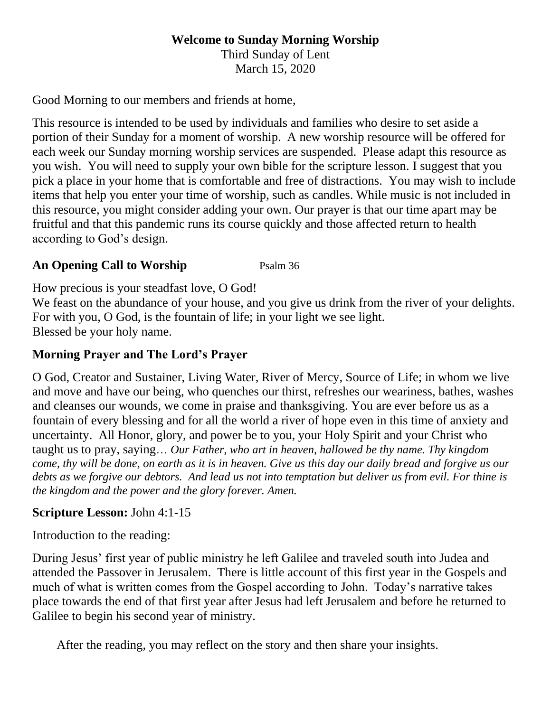# **Welcome to Sunday Morning Worship**

Third Sunday of Lent March 15, 2020

Good Morning to our members and friends at home,

This resource is intended to be used by individuals and families who desire to set aside a portion of their Sunday for a moment of worship. A new worship resource will be offered for each week our Sunday morning worship services are suspended. Please adapt this resource as you wish. You will need to supply your own bible for the scripture lesson. I suggest that you pick a place in your home that is comfortable and free of distractions. You may wish to include items that help you enter your time of worship, such as candles. While music is not included in this resource, you might consider adding your own. Our prayer is that our time apart may be fruitful and that this pandemic runs its course quickly and those affected return to health according to God's design.

## **An Opening Call to Worship** Psalm 36

How precious is your steadfast love, O God!

We feast on the abundance of your house, and you give us drink from the river of your delights. For with you, O God, is the fountain of life; in your light we see light. Blessed be your holy name.

## **Morning Prayer and The Lord's Prayer**

O God, Creator and Sustainer, Living Water, River of Mercy, Source of Life; in whom we live and move and have our being, who quenches our thirst, refreshes our weariness, bathes, washes and cleanses our wounds, we come in praise and thanksgiving. You are ever before us as a fountain of every blessing and for all the world a river of hope even in this time of anxiety and uncertainty. All Honor, glory, and power be to you, your Holy Spirit and your Christ who taught us to pray, saying… *Our Father, who art in heaven, hallowed be thy name. Thy kingdom come, thy will be done, on earth as it is in heaven. Give us this day our daily bread and forgive us our debts as we forgive our debtors. And lead us not into temptation but deliver us from evil. For thine is the kingdom and the power and the glory forever. Amen.*

#### **Scripture Lesson:** John 4:1-15

Introduction to the reading:

During Jesus' first year of public ministry he left Galilee and traveled south into Judea and attended the Passover in Jerusalem. There is little account of this first year in the Gospels and much of what is written comes from the Gospel according to John. Today's narrative takes place towards the end of that first year after Jesus had left Jerusalem and before he returned to Galilee to begin his second year of ministry.

After the reading, you may reflect on the story and then share your insights.